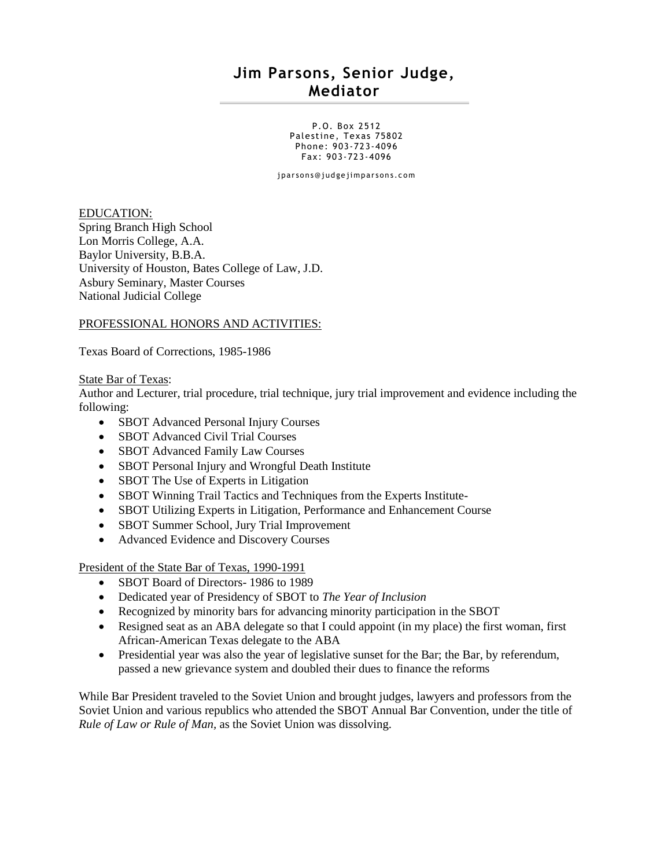# **Jim Parsons, Senior Judge, Mediator**

P.O. Box 2512 Palestine, Texas 75802 Phone: 903-723-4096 Fax: 903-723-4096

jpar son s@judge jimpar sons.com

EDUCATION: Spring Branch High School Lon Morris College, A.A. Baylor University, B.B.A. University of Houston, Bates College of Law, J.D. Asbury Seminary, Master Courses National Judicial College

#### PROFESSIONAL HONORS AND ACTIVITIES:

Texas Board of Corrections, 1985-1986

#### State Bar of Texas:

Author and Lecturer, trial procedure, trial technique, jury trial improvement and evidence including the following:

- SBOT Advanced Personal Injury Courses
- SBOT Advanced Civil Trial Courses
- SBOT Advanced Family Law Courses
- SBOT Personal Injury and Wrongful Death Institute
- SBOT The Use of Experts in Litigation
- SBOT Winning Trail Tactics and Techniques from the Experts Institute-
- SBOT Utilizing Experts in Litigation, Performance and Enhancement Course
- SBOT Summer School, Jury Trial Improvement
- Advanced Evidence and Discovery Courses

President of the State Bar of Texas, 1990-1991

- SBOT Board of Directors- 1986 to 1989
- Dedicated year of Presidency of SBOT to *The Year of Inclusion*
- Recognized by minority bars for advancing minority participation in the SBOT
- Resigned seat as an ABA delegate so that I could appoint (in my place) the first woman, first African-American Texas delegate to the ABA
- Presidential year was also the year of legislative sunset for the Bar; the Bar, by referendum, passed a new grievance system and doubled their dues to finance the reforms

While Bar President traveled to the Soviet Union and brought judges, lawyers and professors from the Soviet Union and various republics who attended the SBOT Annual Bar Convention, under the title of *Rule of Law or Rule of Man,* as the Soviet Union was dissolving.